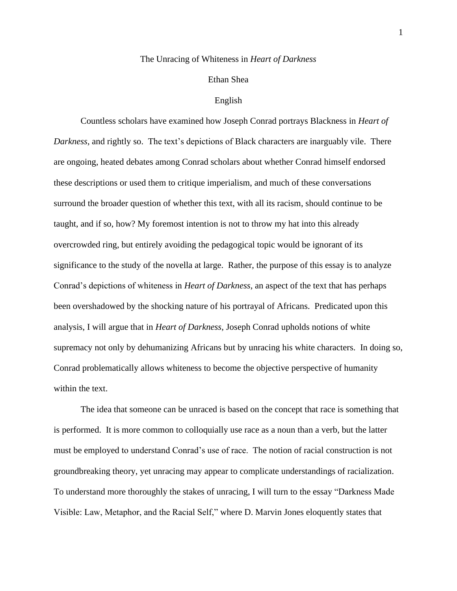## The Unracing of Whiteness in *Heart of Darkness*

## Ethan Shea

## English

Countless scholars have examined how Joseph Conrad portrays Blackness in *Heart of Darkness*, and rightly so. The text's depictions of Black characters are inarguably vile. There are ongoing, heated debates among Conrad scholars about whether Conrad himself endorsed these descriptions or used them to critique imperialism, and much of these conversations surround the broader question of whether this text, with all its racism, should continue to be taught, and if so, how? My foremost intention is not to throw my hat into this already overcrowded ring, but entirely avoiding the pedagogical topic would be ignorant of its significance to the study of the novella at large. Rather, the purpose of this essay is to analyze Conrad's depictions of whiteness in *Heart of Darkness*, an aspect of the text that has perhaps been overshadowed by the shocking nature of his portrayal of Africans. Predicated upon this analysis, I will argue that in *Heart of Darkness*, Joseph Conrad upholds notions of white supremacy not only by dehumanizing Africans but by unracing his white characters. In doing so, Conrad problematically allows whiteness to become the objective perspective of humanity within the text.

The idea that someone can be unraced is based on the concept that race is something that is performed. It is more common to colloquially use race as a noun than a verb, but the latter must be employed to understand Conrad's use of race. The notion of racial construction is not groundbreaking theory, yet unracing may appear to complicate understandings of racialization. To understand more thoroughly the stakes of unracing, I will turn to the essay "Darkness Made Visible: Law, Metaphor, and the Racial Self," where D. Marvin Jones eloquently states that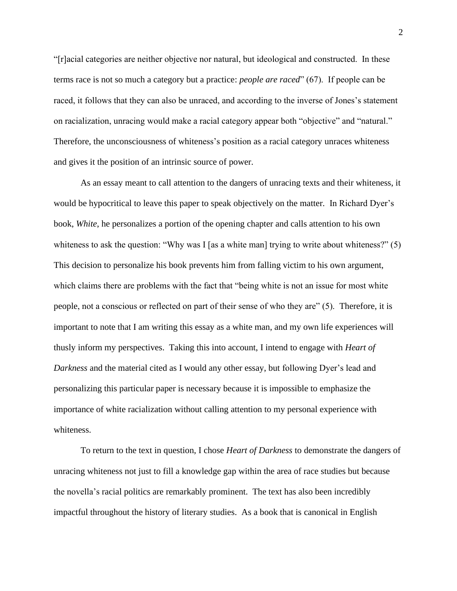"[r]acial categories are neither objective nor natural, but ideological and constructed. In these terms race is not so much a category but a practice: *people are raced*" (67). If people can be raced, it follows that they can also be unraced, and according to the inverse of Jones's statement on racialization, unracing would make a racial category appear both "objective" and "natural." Therefore, the unconsciousness of whiteness's position as a racial category unraces whiteness and gives it the position of an intrinsic source of power.

As an essay meant to call attention to the dangers of unracing texts and their whiteness, it would be hypocritical to leave this paper to speak objectively on the matter. In Richard Dyer's book, *White*, he personalizes a portion of the opening chapter and calls attention to his own whiteness to ask the question: "Why was I [as a white man] trying to write about whiteness?" (5) This decision to personalize his book prevents him from falling victim to his own argument, which claims there are problems with the fact that "being white is not an issue for most white people, not a conscious or reflected on part of their sense of who they are" (5). Therefore, it is important to note that I am writing this essay as a white man, and my own life experiences will thusly inform my perspectives. Taking this into account, I intend to engage with *Heart of Darkness* and the material cited as I would any other essay, but following Dyer's lead and personalizing this particular paper is necessary because it is impossible to emphasize the importance of white racialization without calling attention to my personal experience with whiteness.

To return to the text in question, I chose *Heart of Darkness* to demonstrate the dangers of unracing whiteness not just to fill a knowledge gap within the area of race studies but because the novella's racial politics are remarkably prominent. The text has also been incredibly impactful throughout the history of literary studies. As a book that is canonical in English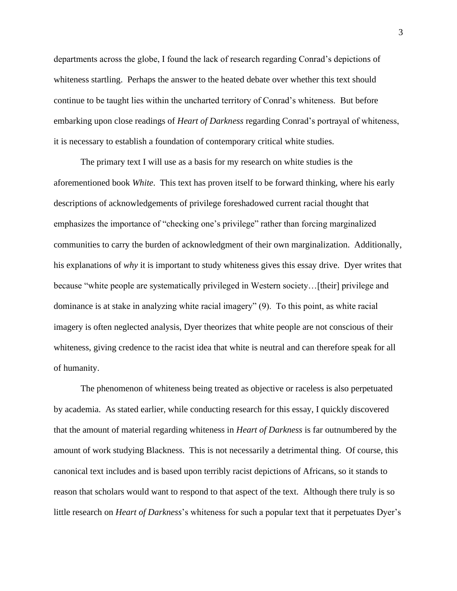departments across the globe, I found the lack of research regarding Conrad's depictions of whiteness startling. Perhaps the answer to the heated debate over whether this text should continue to be taught lies within the uncharted territory of Conrad's whiteness. But before embarking upon close readings of *Heart of Darkness* regarding Conrad's portrayal of whiteness, it is necessary to establish a foundation of contemporary critical white studies.

The primary text I will use as a basis for my research on white studies is the aforementioned book *White*. This text has proven itself to be forward thinking, where his early descriptions of acknowledgements of privilege foreshadowed current racial thought that emphasizes the importance of "checking one's privilege" rather than forcing marginalized communities to carry the burden of acknowledgment of their own marginalization. Additionally, his explanations of *why* it is important to study whiteness gives this essay drive. Dyer writes that because "white people are systematically privileged in Western society...[their] privilege and dominance is at stake in analyzing white racial imagery" (9). To this point, as white racial imagery is often neglected analysis, Dyer theorizes that white people are not conscious of their whiteness, giving credence to the racist idea that white is neutral and can therefore speak for all of humanity.

The phenomenon of whiteness being treated as objective or raceless is also perpetuated by academia. As stated earlier, while conducting research for this essay, I quickly discovered that the amount of material regarding whiteness in *Heart of Darkness* is far outnumbered by the amount of work studying Blackness. This is not necessarily a detrimental thing. Of course, this canonical text includes and is based upon terribly racist depictions of Africans, so it stands to reason that scholars would want to respond to that aspect of the text. Although there truly is so little research on *Heart of Darkness*'s whiteness for such a popular text that it perpetuates Dyer's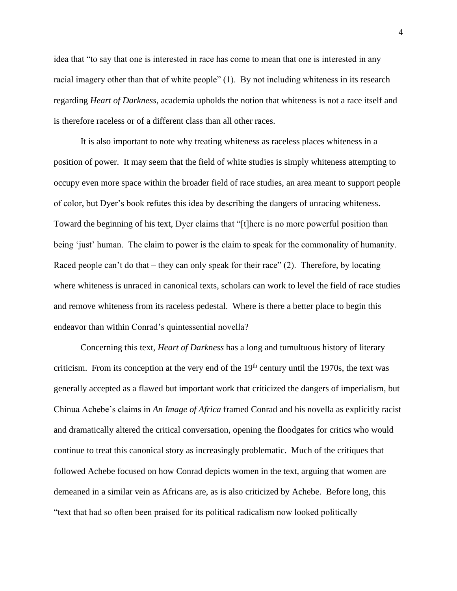idea that "to say that one is interested in race has come to mean that one is interested in any racial imagery other than that of white people" (1). By not including whiteness in its research regarding *Heart of Darkness*, academia upholds the notion that whiteness is not a race itself and is therefore raceless or of a different class than all other races.

It is also important to note why treating whiteness as raceless places whiteness in a position of power. It may seem that the field of white studies is simply whiteness attempting to occupy even more space within the broader field of race studies, an area meant to support people of color, but Dyer's book refutes this idea by describing the dangers of unracing whiteness. Toward the beginning of his text, Dyer claims that "[t]here is no more powerful position than being 'just' human. The claim to power is the claim to speak for the commonality of humanity. Raced people can't do that – they can only speak for their race"  $(2)$ . Therefore, by locating where whiteness is unraced in canonical texts, scholars can work to level the field of race studies and remove whiteness from its raceless pedestal. Where is there a better place to begin this endeavor than within Conrad's quintessential novella?

Concerning this text, *Heart of Darkness* has a long and tumultuous history of literary criticism. From its conception at the very end of the  $19<sup>th</sup>$  century until the 1970s, the text was generally accepted as a flawed but important work that criticized the dangers of imperialism, but Chinua Achebe's claims in *An Image of Africa* framed Conrad and his novella as explicitly racist and dramatically altered the critical conversation, opening the floodgates for critics who would continue to treat this canonical story as increasingly problematic. Much of the critiques that followed Achebe focused on how Conrad depicts women in the text, arguing that women are demeaned in a similar vein as Africans are, as is also criticized by Achebe. Before long, this "text that had so often been praised for its political radicalism now looked politically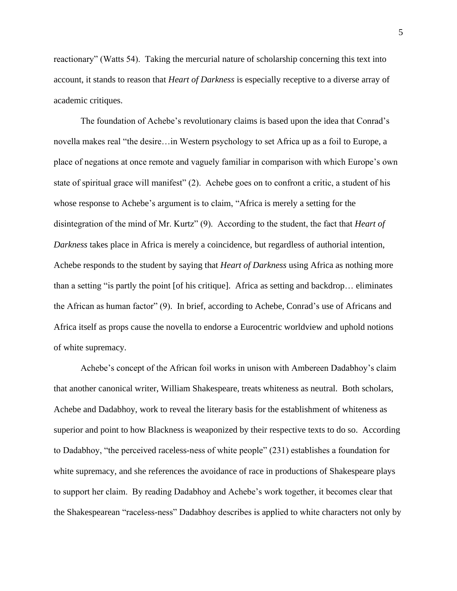reactionary" (Watts 54). Taking the mercurial nature of scholarship concerning this text into account, it stands to reason that *Heart of Darkness* is especially receptive to a diverse array of academic critiques.

The foundation of Achebe's revolutionary claims is based upon the idea that Conrad's novella makes real "the desire…in Western psychology to set Africa up as a foil to Europe, a place of negations at once remote and vaguely familiar in comparison with which Europe's own state of spiritual grace will manifest" (2). Achebe goes on to confront a critic, a student of his whose response to Achebe's argument is to claim, "Africa is merely a setting for the disintegration of the mind of Mr. Kurtz" (9). According to the student, the fact that *Heart of Darkness* takes place in Africa is merely a coincidence, but regardless of authorial intention, Achebe responds to the student by saying that *Heart of Darkness* using Africa as nothing more than a setting "is partly the point [of his critique]. Africa as setting and backdrop… eliminates the African as human factor" (9). In brief, according to Achebe, Conrad's use of Africans and Africa itself as props cause the novella to endorse a Eurocentric worldview and uphold notions of white supremacy.

Achebe's concept of the African foil works in unison with Ambereen Dadabhoy's claim that another canonical writer, William Shakespeare, treats whiteness as neutral. Both scholars, Achebe and Dadabhoy, work to reveal the literary basis for the establishment of whiteness as superior and point to how Blackness is weaponized by their respective texts to do so. According to Dadabhoy, "the perceived raceless-ness of white people" (231) establishes a foundation for white supremacy, and she references the avoidance of race in productions of Shakespeare plays to support her claim. By reading Dadabhoy and Achebe's work together, it becomes clear that the Shakespearean "raceless-ness" Dadabhoy describes is applied to white characters not only by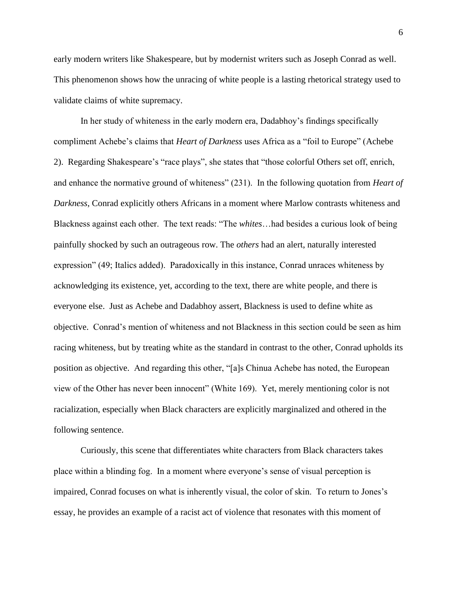early modern writers like Shakespeare, but by modernist writers such as Joseph Conrad as well. This phenomenon shows how the unracing of white people is a lasting rhetorical strategy used to validate claims of white supremacy.

In her study of whiteness in the early modern era, Dadabhoy's findings specifically compliment Achebe's claims that *Heart of Darkness* uses Africa as a "foil to Europe" (Achebe 2). Regarding Shakespeare's "race plays", she states that "those colorful Others set off, enrich, and enhance the normative ground of whiteness" (231). In the following quotation from *Heart of Darkness*, Conrad explicitly others Africans in a moment where Marlow contrasts whiteness and Blackness against each other. The text reads: "The *whites*…had besides a curious look of being painfully shocked by such an outrageous row. The *others* had an alert, naturally interested expression" (49; Italics added). Paradoxically in this instance, Conrad unraces whiteness by acknowledging its existence, yet, according to the text, there are white people, and there is everyone else. Just as Achebe and Dadabhoy assert, Blackness is used to define white as objective. Conrad's mention of whiteness and not Blackness in this section could be seen as him racing whiteness, but by treating white as the standard in contrast to the other, Conrad upholds its position as objective. And regarding this other, "[a]s Chinua Achebe has noted, the European view of the Other has never been innocent" (White 169). Yet, merely mentioning color is not racialization, especially when Black characters are explicitly marginalized and othered in the following sentence.

Curiously, this scene that differentiates white characters from Black characters takes place within a blinding fog. In a moment where everyone's sense of visual perception is impaired, Conrad focuses on what is inherently visual, the color of skin. To return to Jones's essay, he provides an example of a racist act of violence that resonates with this moment of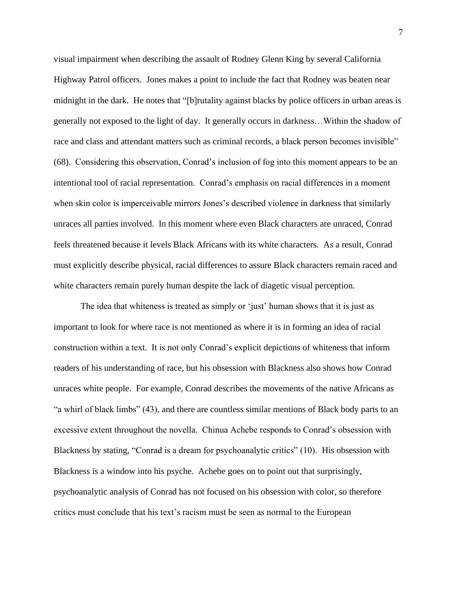visual impairment when describing the assault of Rodney Glenn King by several California Highway Patrol officers. Jones makes a point to include the fact that Rodney was beaten near midnight in the dark. He notes that "[b]rutality against blacks by police officers in urban areas is generally not exposed to the light of day. It generally occurs in darkness…Within the shadow of race and class and attendant matters such as criminal records, a black person becomes invisible" (68). Considering this observation, Conrad's inclusion of fog into this moment appears to be an intentional tool of racial representation. Conrad's emphasis on racial differences in a moment when skin color is imperceivable mirrors Jones's described violence in darkness that similarly unraces all parties involved. In this moment where even Black characters are unraced, Conrad feels threatened because it levels Black Africans with its white characters. As a result, Conrad must explicitly describe physical, racial differences to assure Black characters remain raced and white characters remain purely human despite the lack of diagetic visual perception.

The idea that whiteness is treated as simply or 'just' human shows that it is just as important to look for where race is not mentioned as where it is in forming an idea of racial construction within a text. It is not only Conrad's explicit depictions of whiteness that inform readers of his understanding of race, but his obsession with Blackness also shows how Conrad unraces white people. For example, Conrad describes the movements of the native Africans as "a whirl of black limbs" (43), and there are countless similar mentions of Black body parts to an excessive extent throughout the novella. Chinua Achebe responds to Conrad's obsession with Blackness by stating, "Conrad is a dream for psychoanalytic critics" (10). His obsession with Blackness is a window into his psyche. Achebe goes on to point out that surprisingly, psychoanalytic analysis of Conrad has not focused on his obsession with color, so therefore critics must conclude that his text's racism must be seen as normal to the European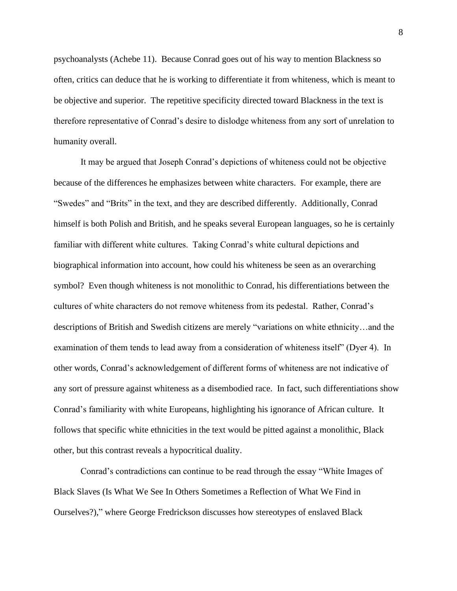psychoanalysts (Achebe 11). Because Conrad goes out of his way to mention Blackness so often, critics can deduce that he is working to differentiate it from whiteness, which is meant to be objective and superior. The repetitive specificity directed toward Blackness in the text is therefore representative of Conrad's desire to dislodge whiteness from any sort of unrelation to humanity overall.

It may be argued that Joseph Conrad's depictions of whiteness could not be objective because of the differences he emphasizes between white characters. For example, there are "Swedes" and "Brits" in the text, and they are described differently. Additionally, Conrad himself is both Polish and British, and he speaks several European languages, so he is certainly familiar with different white cultures. Taking Conrad's white cultural depictions and biographical information into account, how could his whiteness be seen as an overarching symbol? Even though whiteness is not monolithic to Conrad, his differentiations between the cultures of white characters do not remove whiteness from its pedestal. Rather, Conrad's descriptions of British and Swedish citizens are merely "variations on white ethnicity…and the examination of them tends to lead away from a consideration of whiteness itself" (Dyer 4). In other words, Conrad's acknowledgement of different forms of whiteness are not indicative of any sort of pressure against whiteness as a disembodied race. In fact, such differentiations show Conrad's familiarity with white Europeans, highlighting his ignorance of African culture. It follows that specific white ethnicities in the text would be pitted against a monolithic, Black other, but this contrast reveals a hypocritical duality.

Conrad's contradictions can continue to be read through the essay "White Images of Black Slaves (Is What We See In Others Sometimes a Reflection of What We Find in Ourselves?)," where George Fredrickson discusses how stereotypes of enslaved Black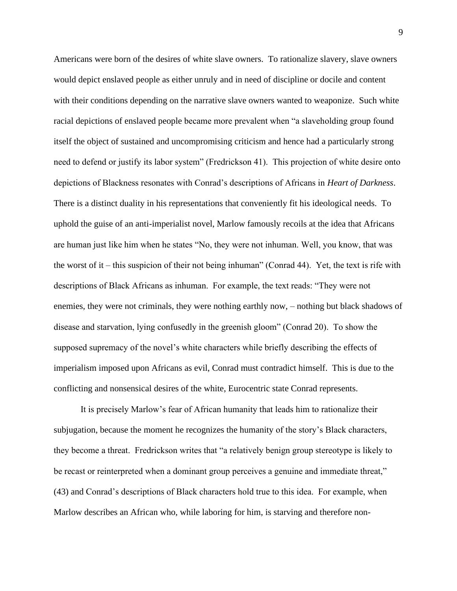Americans were born of the desires of white slave owners. To rationalize slavery, slave owners would depict enslaved people as either unruly and in need of discipline or docile and content with their conditions depending on the narrative slave owners wanted to weaponize. Such white racial depictions of enslaved people became more prevalent when "a slaveholding group found itself the object of sustained and uncompromising criticism and hence had a particularly strong need to defend or justify its labor system" (Fredrickson 41). This projection of white desire onto depictions of Blackness resonates with Conrad's descriptions of Africans in *Heart of Darkness*. There is a distinct duality in his representations that conveniently fit his ideological needs. To uphold the guise of an anti-imperialist novel, Marlow famously recoils at the idea that Africans are human just like him when he states "No, they were not inhuman. Well, you know, that was the worst of it – this suspicion of their not being inhuman" (Conrad 44). Yet, the text is rife with descriptions of Black Africans as inhuman. For example, the text reads: "They were not enemies, they were not criminals, they were nothing earthly now, – nothing but black shadows of disease and starvation, lying confusedly in the greenish gloom" (Conrad 20). To show the supposed supremacy of the novel's white characters while briefly describing the effects of imperialism imposed upon Africans as evil, Conrad must contradict himself. This is due to the conflicting and nonsensical desires of the white, Eurocentric state Conrad represents.

It is precisely Marlow's fear of African humanity that leads him to rationalize their subjugation, because the moment he recognizes the humanity of the story's Black characters, they become a threat. Fredrickson writes that "a relatively benign group stereotype is likely to be recast or reinterpreted when a dominant group perceives a genuine and immediate threat," (43) and Conrad's descriptions of Black characters hold true to this idea. For example, when Marlow describes an African who, while laboring for him, is starving and therefore non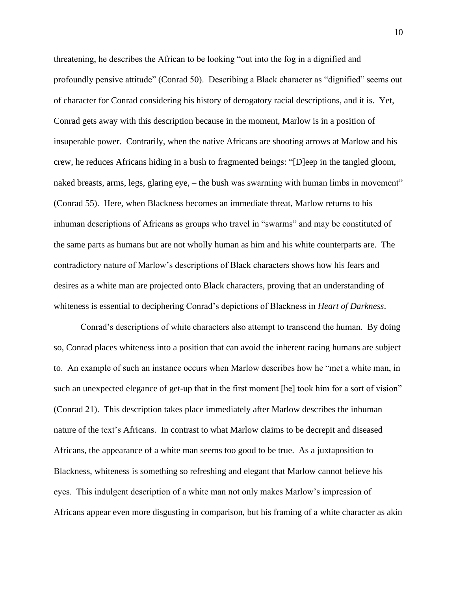threatening, he describes the African to be looking "out into the fog in a dignified and profoundly pensive attitude" (Conrad 50). Describing a Black character as "dignified" seems out of character for Conrad considering his history of derogatory racial descriptions, and it is. Yet, Conrad gets away with this description because in the moment, Marlow is in a position of insuperable power. Contrarily, when the native Africans are shooting arrows at Marlow and his crew, he reduces Africans hiding in a bush to fragmented beings: "[D]eep in the tangled gloom, naked breasts, arms, legs, glaring eye, – the bush was swarming with human limbs in movement" (Conrad 55). Here, when Blackness becomes an immediate threat, Marlow returns to his inhuman descriptions of Africans as groups who travel in "swarms" and may be constituted of the same parts as humans but are not wholly human as him and his white counterparts are. The contradictory nature of Marlow's descriptions of Black characters shows how his fears and desires as a white man are projected onto Black characters, proving that an understanding of whiteness is essential to deciphering Conrad's depictions of Blackness in *Heart of Darkness*.

Conrad's descriptions of white characters also attempt to transcend the human. By doing so, Conrad places whiteness into a position that can avoid the inherent racing humans are subject to. An example of such an instance occurs when Marlow describes how he "met a white man, in such an unexpected elegance of get-up that in the first moment [he] took him for a sort of vision" (Conrad 21). This description takes place immediately after Marlow describes the inhuman nature of the text's Africans. In contrast to what Marlow claims to be decrepit and diseased Africans, the appearance of a white man seems too good to be true. As a juxtaposition to Blackness, whiteness is something so refreshing and elegant that Marlow cannot believe his eyes. This indulgent description of a white man not only makes Marlow's impression of Africans appear even more disgusting in comparison, but his framing of a white character as akin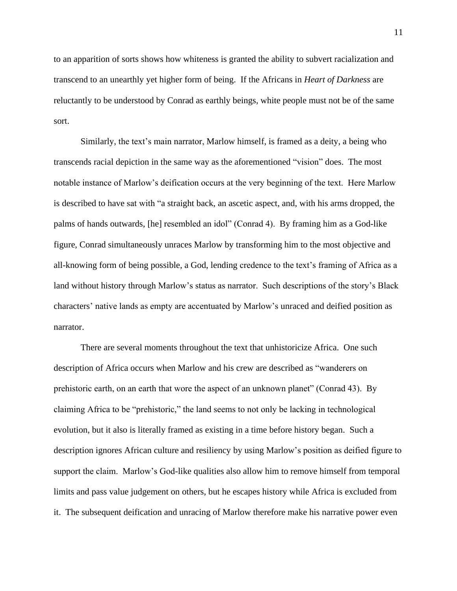to an apparition of sorts shows how whiteness is granted the ability to subvert racialization and transcend to an unearthly yet higher form of being. If the Africans in *Heart of Darkness* are reluctantly to be understood by Conrad as earthly beings, white people must not be of the same sort.

Similarly, the text's main narrator, Marlow himself, is framed as a deity, a being who transcends racial depiction in the same way as the aforementioned "vision" does. The most notable instance of Marlow's deification occurs at the very beginning of the text. Here Marlow is described to have sat with "a straight back, an ascetic aspect, and, with his arms dropped, the palms of hands outwards, [he] resembled an idol" (Conrad 4). By framing him as a God-like figure, Conrad simultaneously unraces Marlow by transforming him to the most objective and all-knowing form of being possible, a God, lending credence to the text's framing of Africa as a land without history through Marlow's status as narrator. Such descriptions of the story's Black characters' native lands as empty are accentuated by Marlow's unraced and deified position as narrator.

There are several moments throughout the text that unhistoricize Africa. One such description of Africa occurs when Marlow and his crew are described as "wanderers on prehistoric earth, on an earth that wore the aspect of an unknown planet" (Conrad 43). By claiming Africa to be "prehistoric," the land seems to not only be lacking in technological evolution, but it also is literally framed as existing in a time before history began. Such a description ignores African culture and resiliency by using Marlow's position as deified figure to support the claim. Marlow's God-like qualities also allow him to remove himself from temporal limits and pass value judgement on others, but he escapes history while Africa is excluded from it. The subsequent deification and unracing of Marlow therefore make his narrative power even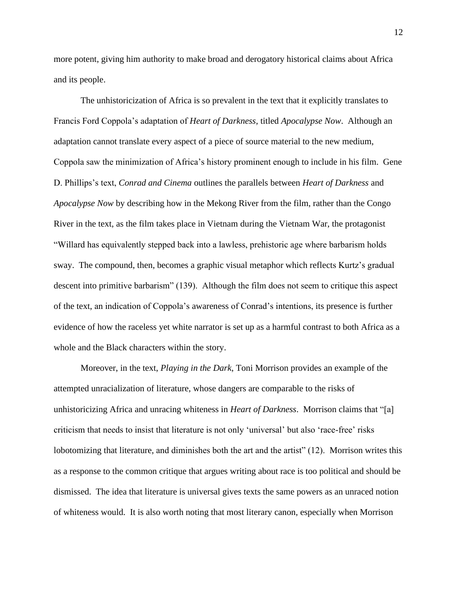more potent, giving him authority to make broad and derogatory historical claims about Africa and its people.

The unhistoricization of Africa is so prevalent in the text that it explicitly translates to Francis Ford Coppola's adaptation of *Heart of Darkness*, titled *Apocalypse Now*. Although an adaptation cannot translate every aspect of a piece of source material to the new medium, Coppola saw the minimization of Africa's history prominent enough to include in his film. Gene D. Phillips's text, *Conrad and Cinema* outlines the parallels between *Heart of Darkness* and *Apocalypse Now* by describing how in the Mekong River from the film, rather than the Congo River in the text, as the film takes place in Vietnam during the Vietnam War, the protagonist "Willard has equivalently stepped back into a lawless, prehistoric age where barbarism holds sway. The compound, then, becomes a graphic visual metaphor which reflects Kurtz's gradual descent into primitive barbarism" (139). Although the film does not seem to critique this aspect of the text, an indication of Coppola's awareness of Conrad's intentions, its presence is further evidence of how the raceless yet white narrator is set up as a harmful contrast to both Africa as a whole and the Black characters within the story.

Moreover, in the text, *Playing in the Dark*, Toni Morrison provides an example of the attempted unracialization of literature, whose dangers are comparable to the risks of unhistoricizing Africa and unracing whiteness in *Heart of Darkness*. Morrison claims that "[a] criticism that needs to insist that literature is not only 'universal' but also 'race-free' risks lobotomizing that literature, and diminishes both the art and the artist" (12). Morrison writes this as a response to the common critique that argues writing about race is too political and should be dismissed. The idea that literature is universal gives texts the same powers as an unraced notion of whiteness would. It is also worth noting that most literary canon, especially when Morrison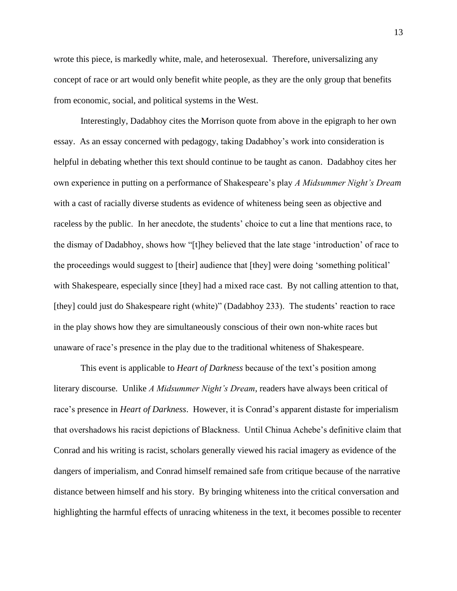wrote this piece, is markedly white, male, and heterosexual. Therefore, universalizing any concept of race or art would only benefit white people, as they are the only group that benefits from economic, social, and political systems in the West.

Interestingly, Dadabhoy cites the Morrison quote from above in the epigraph to her own essay. As an essay concerned with pedagogy, taking Dadabhoy's work into consideration is helpful in debating whether this text should continue to be taught as canon. Dadabhoy cites her own experience in putting on a performance of Shakespeare's play *A Midsummer Night's Dream* with a cast of racially diverse students as evidence of whiteness being seen as objective and raceless by the public. In her anecdote, the students' choice to cut a line that mentions race, to the dismay of Dadabhoy, shows how "[t]hey believed that the late stage 'introduction' of race to the proceedings would suggest to [their] audience that [they] were doing 'something political' with Shakespeare, especially since [they] had a mixed race cast. By not calling attention to that, [they] could just do Shakespeare right (white)" (Dadabhoy 233). The students' reaction to race in the play shows how they are simultaneously conscious of their own non-white races but unaware of race's presence in the play due to the traditional whiteness of Shakespeare.

This event is applicable to *Heart of Darkness* because of the text's position among literary discourse. Unlike *A Midsummer Night's Dream*, readers have always been critical of race's presence in *Heart of Darkness*. However, it is Conrad's apparent distaste for imperialism that overshadows his racist depictions of Blackness. Until Chinua Achebe's definitive claim that Conrad and his writing is racist, scholars generally viewed his racial imagery as evidence of the dangers of imperialism, and Conrad himself remained safe from critique because of the narrative distance between himself and his story. By bringing whiteness into the critical conversation and highlighting the harmful effects of unracing whiteness in the text, it becomes possible to recenter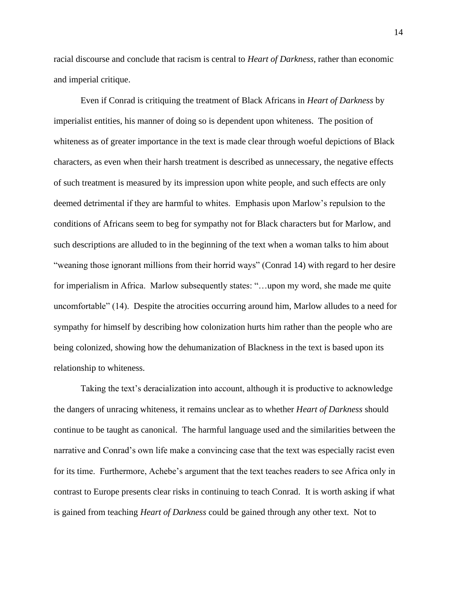racial discourse and conclude that racism is central to *Heart of Darkness*, rather than economic and imperial critique.

Even if Conrad is critiquing the treatment of Black Africans in *Heart of Darkness* by imperialist entities, his manner of doing so is dependent upon whiteness. The position of whiteness as of greater importance in the text is made clear through woeful depictions of Black characters, as even when their harsh treatment is described as unnecessary, the negative effects of such treatment is measured by its impression upon white people, and such effects are only deemed detrimental if they are harmful to whites. Emphasis upon Marlow's repulsion to the conditions of Africans seem to beg for sympathy not for Black characters but for Marlow, and such descriptions are alluded to in the beginning of the text when a woman talks to him about "weaning those ignorant millions from their horrid ways" (Conrad 14) with regard to her desire for imperialism in Africa. Marlow subsequently states: "…upon my word, she made me quite uncomfortable" (14). Despite the atrocities occurring around him, Marlow alludes to a need for sympathy for himself by describing how colonization hurts him rather than the people who are being colonized, showing how the dehumanization of Blackness in the text is based upon its relationship to whiteness.

Taking the text's deracialization into account, although it is productive to acknowledge the dangers of unracing whiteness, it remains unclear as to whether *Heart of Darkness* should continue to be taught as canonical. The harmful language used and the similarities between the narrative and Conrad's own life make a convincing case that the text was especially racist even for its time. Furthermore, Achebe's argument that the text teaches readers to see Africa only in contrast to Europe presents clear risks in continuing to teach Conrad. It is worth asking if what is gained from teaching *Heart of Darkness* could be gained through any other text. Not to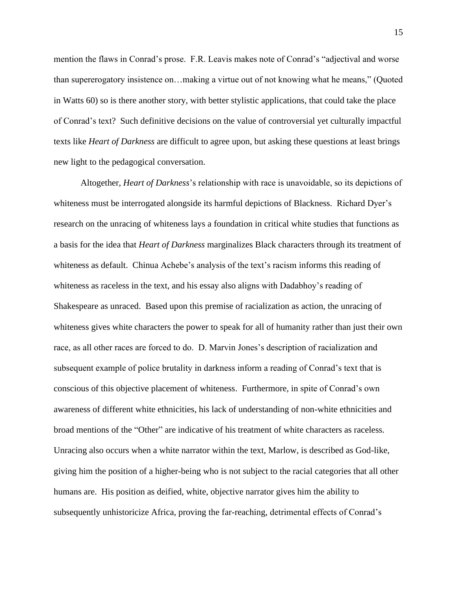mention the flaws in Conrad's prose. F.R. Leavis makes note of Conrad's "adjectival and worse than supererogatory insistence on…making a virtue out of not knowing what he means," (Quoted in Watts 60) so is there another story, with better stylistic applications, that could take the place of Conrad's text? Such definitive decisions on the value of controversial yet culturally impactful texts like *Heart of Darkness* are difficult to agree upon, but asking these questions at least brings new light to the pedagogical conversation.

Altogether, *Heart of Darkness*'s relationship with race is unavoidable, so its depictions of whiteness must be interrogated alongside its harmful depictions of Blackness. Richard Dyer's research on the unracing of whiteness lays a foundation in critical white studies that functions as a basis for the idea that *Heart of Darkness* marginalizes Black characters through its treatment of whiteness as default. Chinua Achebe's analysis of the text's racism informs this reading of whiteness as raceless in the text, and his essay also aligns with Dadabhoy's reading of Shakespeare as unraced. Based upon this premise of racialization as action, the unracing of whiteness gives white characters the power to speak for all of humanity rather than just their own race, as all other races are forced to do. D. Marvin Jones's description of racialization and subsequent example of police brutality in darkness inform a reading of Conrad's text that is conscious of this objective placement of whiteness. Furthermore, in spite of Conrad's own awareness of different white ethnicities, his lack of understanding of non-white ethnicities and broad mentions of the "Other" are indicative of his treatment of white characters as raceless. Unracing also occurs when a white narrator within the text, Marlow, is described as God-like, giving him the position of a higher-being who is not subject to the racial categories that all other humans are. His position as deified, white, objective narrator gives him the ability to subsequently unhistoricize Africa, proving the far-reaching, detrimental effects of Conrad's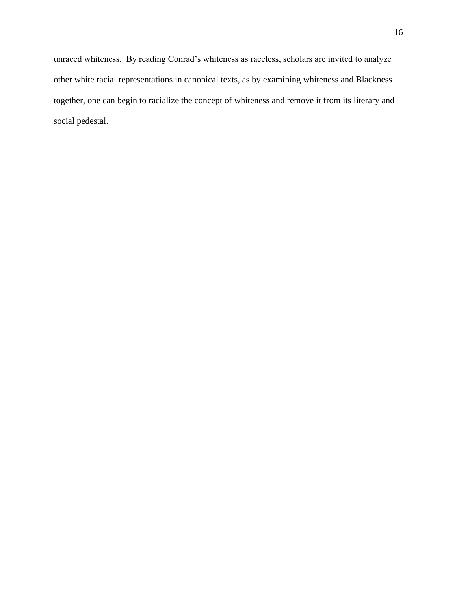unraced whiteness. By reading Conrad's whiteness as raceless, scholars are invited to analyze other white racial representations in canonical texts, as by examining whiteness and Blackness together, one can begin to racialize the concept of whiteness and remove it from its literary and social pedestal.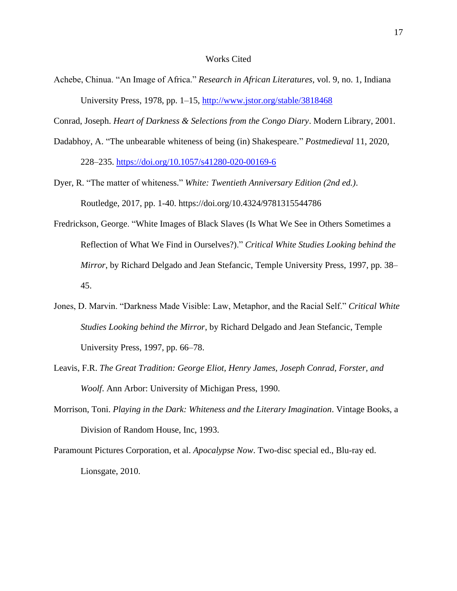## Works Cited

Achebe, Chinua. "An Image of Africa." *Research in African Literatures*, vol. 9, no. 1, Indiana University Press, 1978, pp. 1–15,<http://www.jstor.org/stable/3818468>

Conrad, Joseph. *Heart of Darkness & Selections from the Congo Diary*. Modern Library, 2001.

Dadabhoy, A. "The unbearable whiteness of being (in) Shakespeare." *Postmedieval* 11, 2020,

228–235.<https://doi.org/10.1057/s41280-020-00169-6>

- Dyer, R. "The matter of whiteness." *White: Twentieth Anniversary Edition (2nd ed.)*. Routledge, 2017, pp. 1-40. https://doi.org/10.4324/9781315544786
- Fredrickson, George. "White Images of Black Slaves (Is What We See in Others Sometimes a Reflection of What We Find in Ourselves?)." *Critical White Studies Looking behind the Mirror*, by Richard Delgado and Jean Stefancic, Temple University Press, 1997, pp. 38– 45.
- Jones, D. Marvin. "Darkness Made Visible: Law, Metaphor, and the Racial Self." *Critical White Studies Looking behind the Mirror*, by Richard Delgado and Jean Stefancic, Temple University Press, 1997, pp. 66–78.
- Leavis, F.R. *The Great Tradition: George Eliot, Henry James, Joseph Conrad, Forster, and Woolf*. Ann Arbor: University of Michigan Press, 1990.
- Morrison, Toni. *Playing in the Dark: Whiteness and the Literary Imagination*. Vintage Books, a Division of Random House, Inc, 1993.
- Paramount Pictures Corporation, et al. *Apocalypse Now*. Two-disc special ed., Blu-ray ed. Lionsgate, 2010.